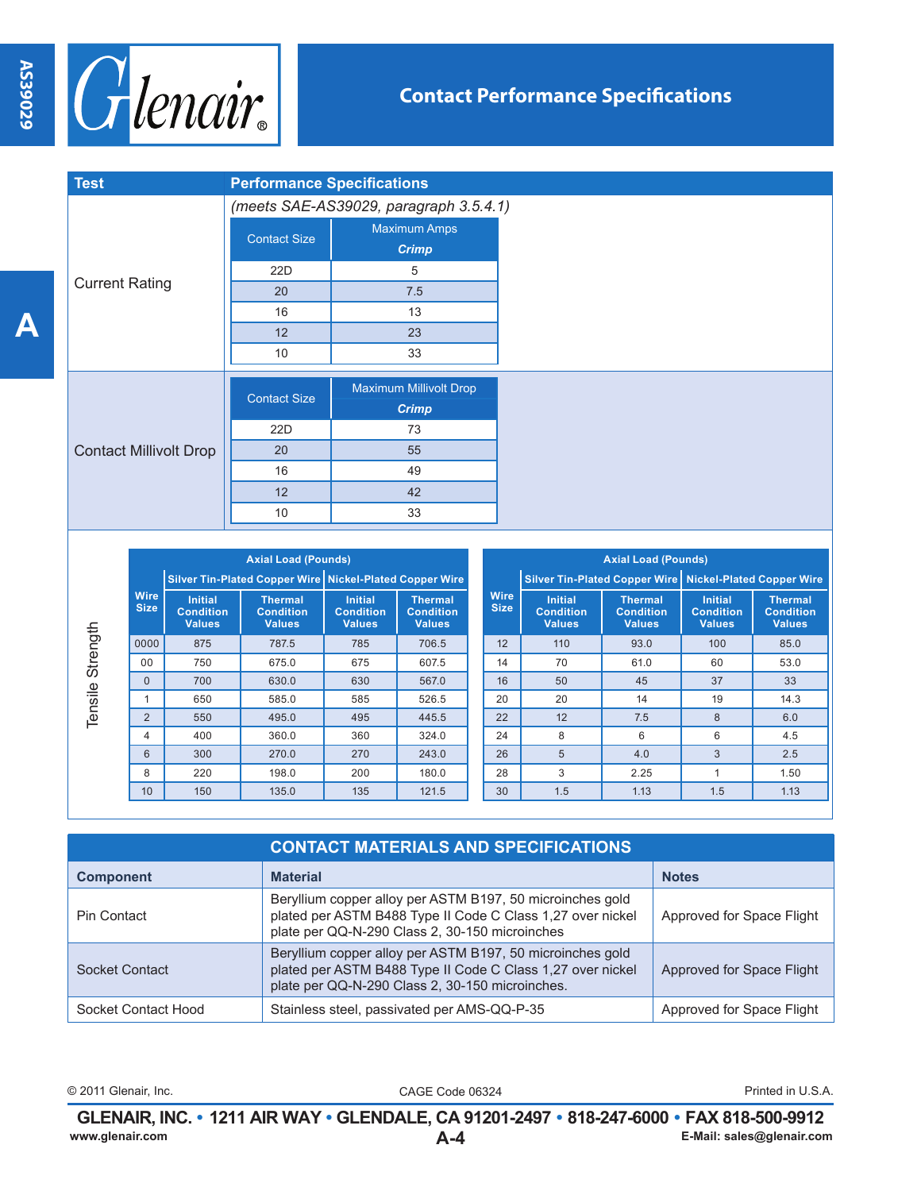**A**



| <b>Test</b>                   | <b>Performance Specifications</b>      |                        |  |  |
|-------------------------------|----------------------------------------|------------------------|--|--|
|                               | (meets SAE-AS39029, paragraph 3.5.4.1) |                        |  |  |
|                               | <b>Contact Size</b>                    | <b>Maximum Amps</b>    |  |  |
| <b>Current Rating</b>         |                                        | <b>Crimp</b>           |  |  |
|                               | 22D                                    | 5                      |  |  |
|                               | 20                                     | 7.5                    |  |  |
|                               | 16                                     | 13                     |  |  |
|                               | 12                                     | 23                     |  |  |
|                               | 10                                     | 33                     |  |  |
|                               |                                        | Maximum Millivolt Drop |  |  |
|                               | <b>Contact Size</b>                    | <b>Crimp</b>           |  |  |
| <b>Contact Millivolt Drop</b> | 22D                                    | 73                     |  |  |
|                               | 20                                     | 55                     |  |  |
|                               | 16                                     | 49                     |  |  |
|                               | 12                                     | 42                     |  |  |
|                               | 10                                     | 33                     |  |  |

|                     | <b>Axial Load (Pounds)</b> |                                                     |                                                     |                                                     |                                                         |                            | <b>Axial Load (Pounds)</b>                          |                                                     |                                                     |                                                           |  |
|---------------------|----------------------------|-----------------------------------------------------|-----------------------------------------------------|-----------------------------------------------------|---------------------------------------------------------|----------------------------|-----------------------------------------------------|-----------------------------------------------------|-----------------------------------------------------|-----------------------------------------------------------|--|
|                     | <b>Wire</b><br><b>Size</b> |                                                     |                                                     |                                                     | Silver Tin-Plated Copper Wire Nickel-Plated Copper Wire |                            |                                                     |                                                     |                                                     | Silver Tin-Plated Copper Wire   Nickel-Plated Copper Wire |  |
|                     |                            | <b>Initial</b><br><b>Condition</b><br><b>Values</b> | <b>Thermal</b><br><b>Condition</b><br><b>Values</b> | <b>Initial</b><br><b>Condition</b><br><b>Values</b> | <b>Thermal</b><br><b>Condition</b><br><b>Values</b>     | <b>Wire</b><br><b>Size</b> | <b>Initial</b><br><b>Condition</b><br><b>Values</b> | <b>Thermal</b><br><b>Condition</b><br><b>Values</b> | <b>Initial</b><br><b>Condition</b><br><b>Values</b> | <b>Thermal</b><br><b>Condition</b><br><b>Values</b>       |  |
|                     | 0000                       | 875                                                 | 787.5                                               | 785                                                 | 706.5                                                   | 12                         | 110                                                 | 93.0                                                | 100                                                 | 85.0                                                      |  |
| Strength<br>Tensile | 00                         | 750                                                 | 675.0                                               | 675                                                 | 607.5                                                   | 14                         | 70                                                  | 61.0                                                | 60                                                  | 53.0                                                      |  |
|                     | $\Omega$                   | 700                                                 | 630.0                                               | 630                                                 | 567.0                                                   | 16                         | 50                                                  | 45                                                  | 37                                                  | 33                                                        |  |
|                     |                            | 650                                                 | 585.0                                               | 585                                                 | 526.5                                                   | 20                         | 20                                                  | 14                                                  | 19                                                  | 14.3                                                      |  |
|                     | 2                          | 550                                                 | 495.0                                               | 495                                                 | 445.5                                                   | 22                         | 12                                                  | 7.5                                                 | 8                                                   | 6.0                                                       |  |
|                     | 4                          | 400                                                 | 360.0                                               | 360                                                 | 324.0                                                   | 24                         | 8                                                   | 6                                                   | 6                                                   | 4.5                                                       |  |
|                     | 6                          | 300                                                 | 270.0                                               | 270                                                 | 243.0                                                   | 26                         | 5                                                   | 4.0                                                 | 3                                                   | 2.5                                                       |  |
|                     | 8                          | 220                                                 | 198.0                                               | 200                                                 | 180.0                                                   | 28                         | 3                                                   | 2.25                                                |                                                     | 1.50                                                      |  |
|                     | 10                         | 150                                                 | 135.0                                               | 135                                                 | 121.5                                                   | 30                         | 1.5                                                 | 1.13                                                | 1.5                                                 | 1.13                                                      |  |

| <b>CONTACT MATERIALS AND SPECIFICATIONS</b> |                                                                                                                                                                            |                           |  |  |  |
|---------------------------------------------|----------------------------------------------------------------------------------------------------------------------------------------------------------------------------|---------------------------|--|--|--|
| <b>Component</b>                            | <b>Material</b>                                                                                                                                                            | <b>Notes</b>              |  |  |  |
| Pin Contact                                 | Beryllium copper alloy per ASTM B197, 50 microinches gold<br>plated per ASTM B488 Type II Code C Class 1,27 over nickel<br>plate per QQ-N-290 Class 2, 30-150 microinches  | Approved for Space Flight |  |  |  |
| Socket Contact                              | Beryllium copper alloy per ASTM B197, 50 microinches gold<br>plated per ASTM B488 Type II Code C Class 1,27 over nickel<br>plate per QQ-N-290 Class 2, 30-150 microinches. | Approved for Space Flight |  |  |  |
| Socket Contact Hood                         | Stainless steel, passivated per AMS-QQ-P-35                                                                                                                                | Approved for Space Flight |  |  |  |

© 2011 Glenair, Inc. CAGE Code 06324 Printed in U.S.A.

**A-4 GLENAIR, INC. • 1211 AIR WAY • GLENDALE, CA 91201-2497 • 818-247-6000 • FAX 818-500-9912**<br>E-Mail: sales@glenair.com **www.glenair.com E-Mail: sales@glenair.com**